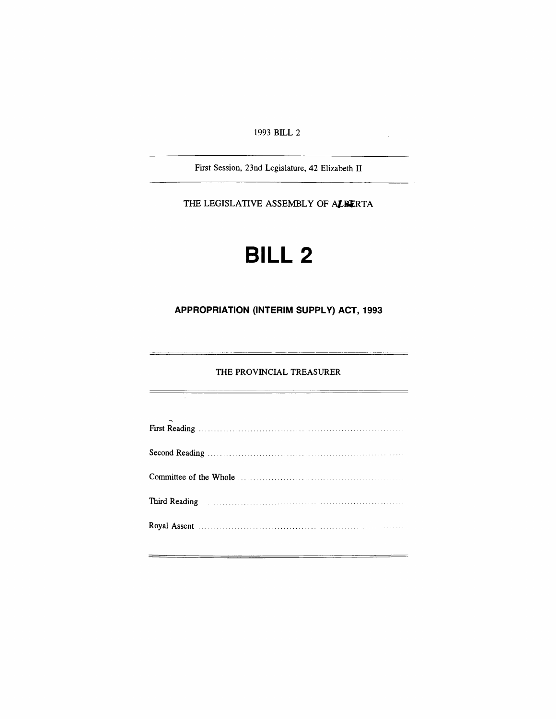1993 BILL 2

 $\mathcal{L}_{\mathcal{L}}$ 

÷,

÷,

First Session, 23nd Legislature, 42 Elizabeth II

THE LEGISLATIVE ASSEMBLY OF ALBERTA

# **BILL 2**

## **APPROPRIATION (INTERIM SUPPLy) ACT, 1993**

THE PROVINCIAL TREASURER

<u> The Common Section of the Common Section of the Common Section of the Common Section of the Common Section of the Common Section of the Common Section of the Common Section of the Common Section of the Common Section of </u>

| $\tilde{\phantom{a}}$ |
|-----------------------|
|                       |
|                       |
|                       |
|                       |
|                       |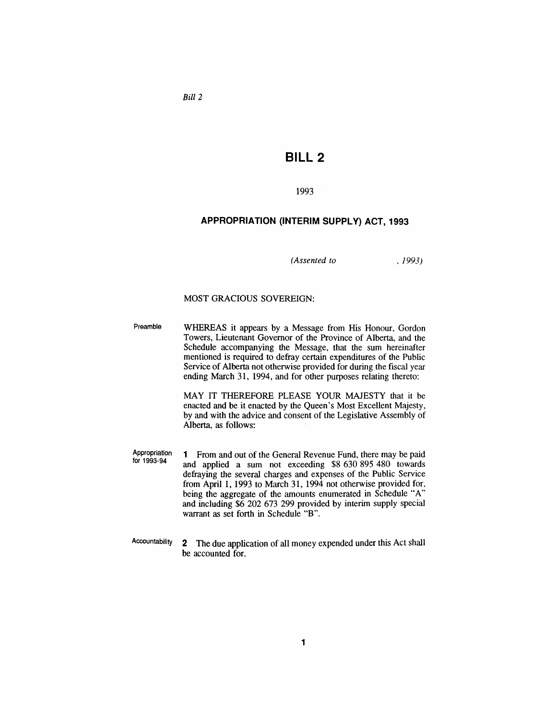*Bill 2*

## **BILL 2**

#### 1993

#### **APPROPRIATION (INTERIM SUPPLy) ACT, 1993**

*(Assented to*

, 1993)

#### MOST GRACIOUS SOVEREIGN:

Preamble WHEREAS it appears by a Message from His Honour, Gordon Towers, Lieutenant Governor of the Province of Alberta, and the Schedule accompanying the Message, that the sum hereinafter mentioned is required to defray certain expenditures of the Public Service of Alberta not otherwise provided for during the fiscal year ending March 31, 1994, and for other purposes relating thereto:

> MAY IT THEREFORE PLEASE YOUR MAJESTY that it be enacted and be it enacted by the Queen's Most Excellent Majesty, by and with the advice and consent of the Legislative Assembly of Alberta, as follows:

Appropriation tor 1993-94 1 From and out of the General Revenue Fund, there may be paid and applied a sum not exceeding \$8 630 895 480 towards defraying the several charges and expenses of the Public Service from April 1, 1993 to March 31, 1994 not otherwise provided for, being the aggregate of the amounts enumerated in Schedule "A" and including \$6 202 673 299 provided by interim supply special warrant as set forth in Schedule "B".

Accountability 2 The due application of all money expended under this Act shall be accounted for.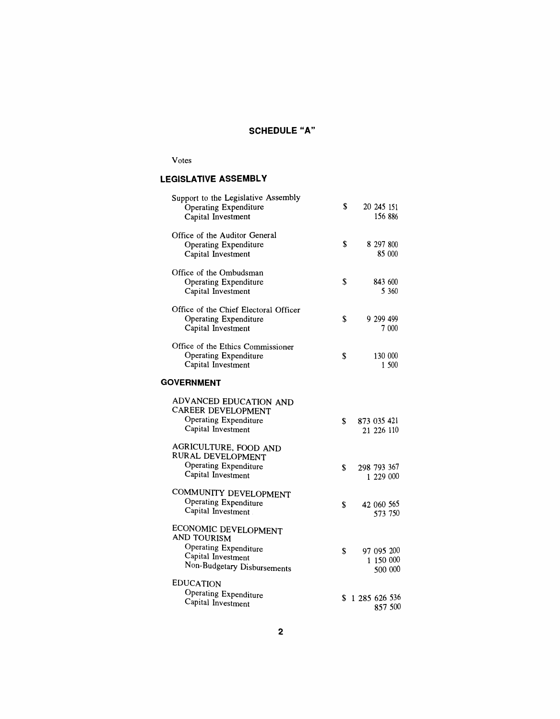## SCHEDULE "A"

#### Votes

## **LEGISLATIVE ASSEMBLY**

| Support to the Legislative Assembly<br>Operating Expenditure<br>Capital Investment                                | \$ |               | 20 245 151<br>156 886   |         |
|-------------------------------------------------------------------------------------------------------------------|----|---------------|-------------------------|---------|
| Office of the Auditor General<br>Operating Expenditure<br>Capital Investment                                      | \$ |               | 8 297 800               | 85 000  |
| Office of the Ombudsman<br>Operating Expenditure<br>Capital Investment                                            | \$ |               | 843 600                 | 5 360   |
| Office of the Chief Electoral Officer<br>Operating Expenditure<br>Capital Investment                              | \$ |               | 9 299 499               | 7 000   |
| Office of the Ethics Commissioner<br>Operating Expenditure<br>Capital Investment                                  | S  |               | 130 000                 | 1 500   |
| <b>GOVERNMENT</b>                                                                                                 |    |               |                         |         |
| ADVANCED EDUCATION AND<br>CAREER DEVELOPMENT<br>Operating Expenditure<br>Capital Investment                       | S. | 873 035 421   | 21 226 110              |         |
| AGRICULTURE, FOOD AND<br>RURAL DEVELOPMENT<br>Operating Expenditure<br>Capital Investment                         | \$ | 298 793 367   | 1 229 000               |         |
| COMMUNITY DEVELOPMENT<br>Operating Expenditure<br>Capital Investment                                              | \$ |               | 42 060 565<br>573 750   |         |
| ECONOMIC DEVELOPMENT<br>AND TOURISM<br>Operating Expenditure<br>Capital Investment<br>Non-Budgetary Disbursements | \$ |               | 97 095 200<br>1 150 000 | 500 000 |
| <b>EDUCATION</b><br>Operating Expenditure<br>Capital Investment                                                   | S  | 1 285 626 536 |                         | 857 500 |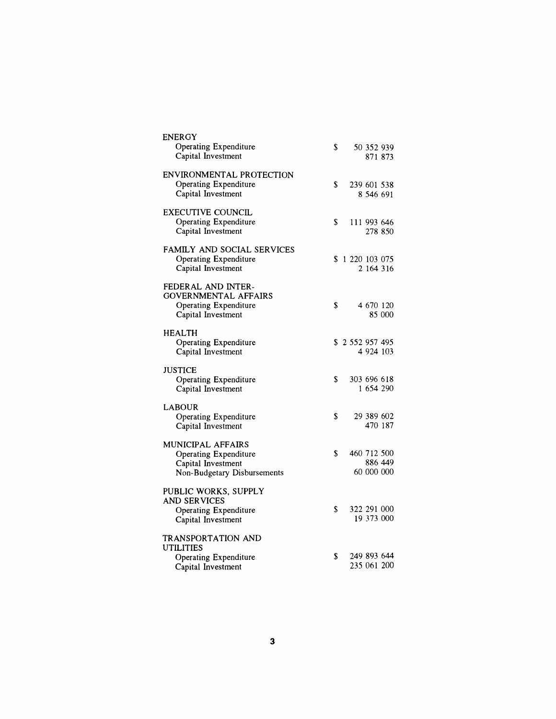| <b>ENERGY</b><br>Operating Expenditure<br>Capital Investment                                                  | S. |              |             | 50 352 939<br>871 873  |
|---------------------------------------------------------------------------------------------------------------|----|--------------|-------------|------------------------|
| ENVIRONMENTAL PROTECTION<br>Operating Expenditure<br>Capital Investment                                       | \$ |              | 239 601 538 | 8 546 691              |
| <b>EXECUTIVE COUNCIL</b><br><b>Operating Expenditure</b><br>Capital Investment                                | \$ |              |             | 111 993 646<br>278 850 |
| FAMILY AND SOCIAL SERVICES<br><b>Operating Expenditure</b><br>Capital Investment                              |    | \$1220103075 |             | 2 164 316              |
| FEDERAL AND INTER-<br><b>GOVERNMENTAL AFFAIRS</b><br><b>Operating Expenditure</b><br>Capital Investment       | \$ |              | 4 670 120   | 85 000                 |
| <b>HEALTH</b><br>Operating Expenditure<br>Capital Investment                                                  |    | \$2552957495 |             | 4 9 24 10 3            |
| <b>JUSTICE</b><br>Operating Expenditure<br>Capital Investment                                                 | S  |              | 303 696 618 | 1 654 290              |
| <b>LABOUR</b><br>Operating Expenditure<br>Capital Investment                                                  | \$ |              |             | 29 389 602<br>470 187  |
| <b>MUNICIPAL AFFAIRS</b><br><b>Operating Expenditure</b><br>Capital Investment<br>Non-Budgetary Disbursements | \$ |              | 60 000 000  | 460 712 500<br>886 449 |
| PUBLIC WORKS, SUPPLY<br><b>AND SERVICES</b><br>Operating Expenditure<br>Capital Investment                    | \$ |              | 322 291 000 | 19 373 000             |
| TRANSPORTATION AND<br>UTILITIES<br>Operating Expenditure<br>Capital Investment                                | \$ |              | 235 061 200 | 249 893 644            |